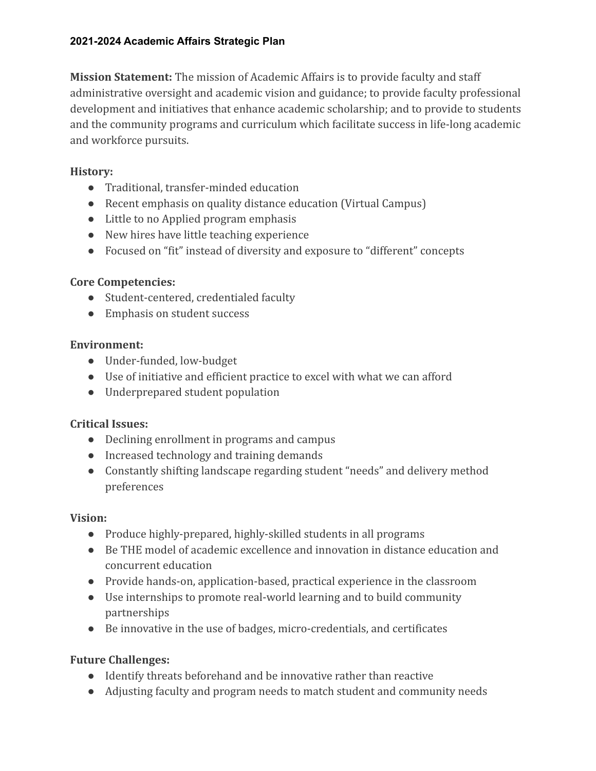**Mission Statement:** The mission of Academic Affairs is to provide faculty and staff administrative oversight and academic vision and guidance; to provide faculty professional development and initiatives that enhance academic scholarship; and to provide to students and the community programs and curriculum which facilitate success in life-long academic and workforce pursuits.

# **History:**

- Traditional, transfer-minded education
- Recent emphasis on quality distance education (Virtual Campus)
- Little to no Applied program emphasis
- New hires have little teaching experience
- Focused on "fit" instead of diversity and exposure to "different" concepts

# **Core Competencies:**

- Student-centered, credentialed faculty
- Emphasis on student success

# **Environment:**

- Under-funded, low-budget
- Use of initiative and efficient practice to excel with what we can afford
- Underprepared student population

# **Critical Issues:**

- Declining enrollment in programs and campus
- Increased technology and training demands
- Constantly shifting landscape regarding student "needs" and delivery method preferences

# **Vision:**

- Produce highly-prepared, highly-skilled students in all programs
- Be THE model of academic excellence and innovation in distance education and concurrent education
- Provide hands-on, application-based, practical experience in the classroom
- Use internships to promote real-world learning and to build community partnerships
- Be innovative in the use of badges, micro-credentials, and certificates

# **Future Challenges:**

- Identify threats beforehand and be innovative rather than reactive
- Adjusting faculty and program needs to match student and community needs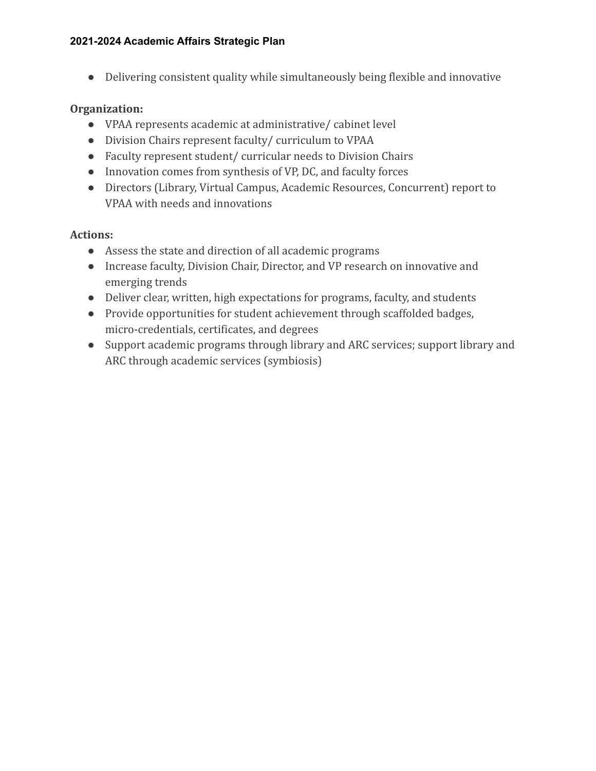● Delivering consistent quality while simultaneously being flexible and innovative

## **Organization:**

- VPAA represents academic at administrative/ cabinet level
- Division Chairs represent faculty/ curriculum to VPAA
- Faculty represent student/ curricular needs to Division Chairs
- Innovation comes from synthesis of VP, DC, and faculty forces
- Directors (Library, Virtual Campus, Academic Resources, Concurrent) report to VPAA with needs and innovations

# **Actions:**

- Assess the state and direction of all academic programs
- Increase faculty, Division Chair, Director, and VP research on innovative and emerging trends
- Deliver clear, written, high expectations for programs, faculty, and students
- Provide opportunities for student achievement through scaffolded badges, micro-credentials, certificates, and degrees
- Support academic programs through library and ARC services; support library and ARC through academic services (symbiosis)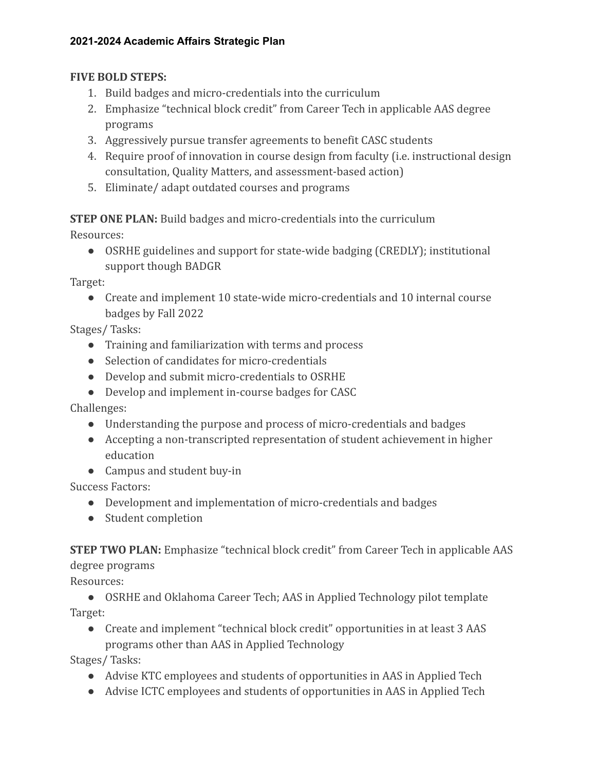## **FIVE BOLD STEPS:**

- 1. Build badges and micro-credentials into the curriculum
- 2. Emphasize "technical block credit" from Career Tech in applicable AAS degree programs
- 3. Aggressively pursue transfer agreements to benefit CASC students
- 4. Require proof of innovation in course design from faculty (i.e. instructional design consultation, Quality Matters, and assessment-based action)
- 5. Eliminate/ adapt outdated courses and programs

**STEP ONE PLAN:** Build badges and micro-credentials into the curriculum

Resources:

● OSRHE guidelines and support for state-wide badging (CREDLY); institutional support though BADGR

Target:

● Create and implement 10 state-wide micro-credentials and 10 internal course badges by Fall 2022

Stages/ Tasks:

- Training and familiarization with terms and process
- Selection of candidates for micro-credentials
- Develop and submit micro-credentials to OSRHE
- Develop and implement in-course badges for CASC

Challenges:

- Understanding the purpose and process of micro-credentials and badges
- Accepting a non-transcripted representation of student achievement in higher education
- Campus and student buy-in

Success Factors:

- Development and implementation of micro-credentials and badges
- Student completion

**STEP TWO PLAN:** Emphasize "technical block credit" from Career Tech in applicable AAS degree programs

Resources:

• OSRHE and Oklahoma Career Tech; AAS in Applied Technology pilot template Target:

● Create and implement "technical block credit" opportunities in at least 3 AAS programs other than AAS in Applied Technology

Stages/ Tasks:

- Advise KTC employees and students of opportunities in AAS in Applied Tech
- Advise ICTC employees and students of opportunities in AAS in Applied Tech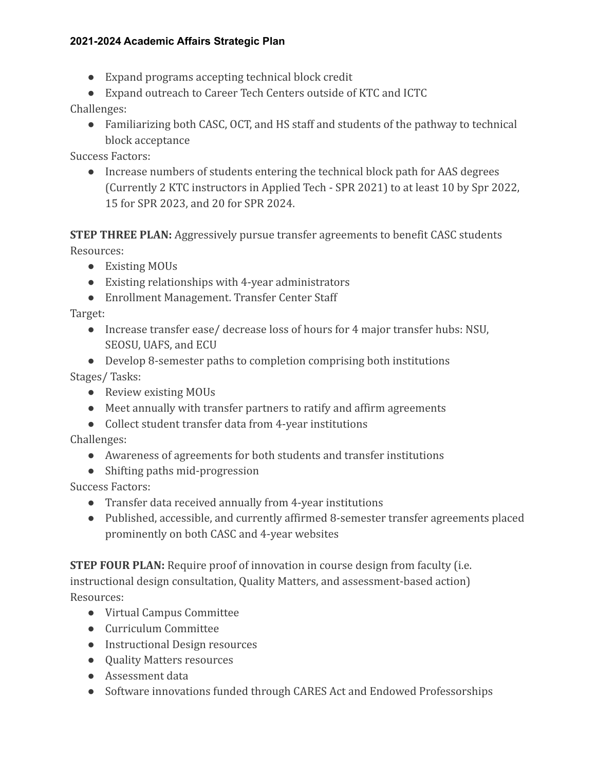- Expand programs accepting technical block credit
- Expand outreach to Career Tech Centers outside of KTC and ICTC

Challenges:

• Familiarizing both CASC, OCT, and HS staff and students of the pathway to technical block acceptance

Success Factors:

• Increase numbers of students entering the technical block path for AAS degrees (Currently 2 KTC instructors in Applied Tech - SPR 2021) to at least 10 by Spr 2022, 15 for SPR 2023, and 20 for SPR 2024.

**STEP THREE PLAN:** Aggressively pursue transfer agreements to benefit CASC students Resources:

- Existing MOUs
- Existing relationships with 4-year administrators
- Enrollment Management. Transfer Center Staff

Target:

- Increase transfer ease/ decrease loss of hours for 4 major transfer hubs: NSU, SEOSU, UAFS, and ECU
- Develop 8-semester paths to completion comprising both institutions Stages/ Tasks:
	- Review existing MOUs
	- Meet annually with transfer partners to ratify and affirm agreements
	- Collect student transfer data from 4-year institutions

Challenges:

- Awareness of agreements for both students and transfer institutions
- Shifting paths mid-progression

Success Factors:

- Transfer data received annually from 4-year institutions
- Published, accessible, and currently affirmed 8-semester transfer agreements placed prominently on both CASC and 4-year websites

**STEP FOUR PLAN:** Require proof of innovation in course design from faculty (i.e. instructional design consultation, Quality Matters, and assessment-based action) Resources:

- Virtual Campus Committee
- Curriculum Committee
- Instructional Design resources
- Ouality Matters resources
- Assessment data
- Software innovations funded through CARES Act and Endowed Professorships